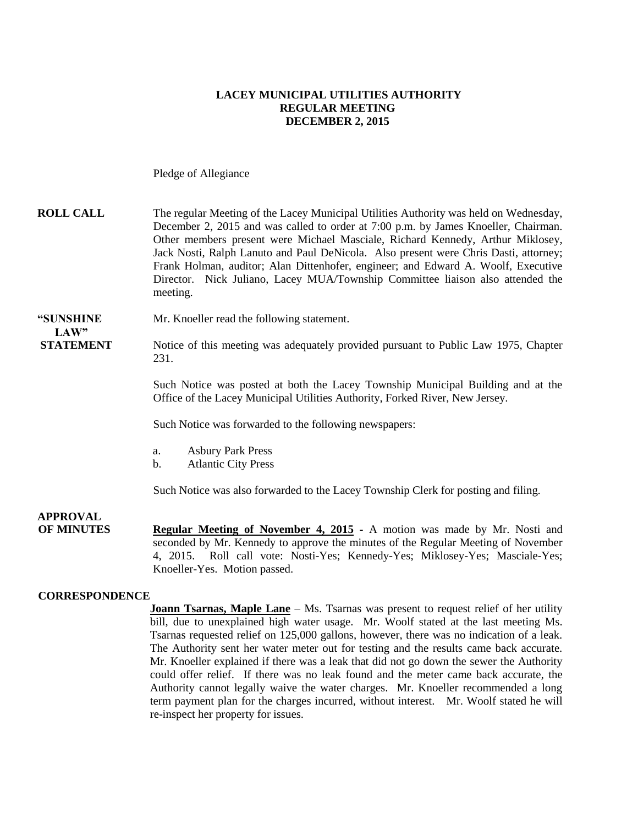### **LACEY MUNICIPAL UTILITIES AUTHORITY REGULAR MEETING DECEMBER 2, 2015**

Pledge of Allegiance

| <b>ROLL CALL</b> | The regular Meeting of the Lacey Municipal Utilities Authority was held on Wednesday, |
|------------------|---------------------------------------------------------------------------------------|
|                  | December 2, 2015 and was called to order at 7:00 p.m. by James Knoeller, Chairman.    |
|                  | Other members present were Michael Masciale, Richard Kennedy, Arthur Miklosey,        |
|                  | Jack Nosti, Ralph Lanuto and Paul DeNicola. Also present were Chris Dasti, attorney;  |
|                  | Frank Holman, auditor; Alan Dittenhofer, engineer; and Edward A. Woolf, Executive     |
|                  | Director. Nick Juliano, Lacey MUA/Township Committee liaison also attended the        |
|                  | meeting.                                                                              |
|                  |                                                                                       |

### **"SUNSHINE** Mr. Knoeller read the following statement.

### LAW"

**STATEMENT** Notice of this meeting was adequately provided pursuant to Public Law 1975, Chapter 231.

> Such Notice was posted at both the Lacey Township Municipal Building and at the Office of the Lacey Municipal Utilities Authority, Forked River, New Jersey.

Such Notice was forwarded to the following newspapers:

- a. Asbury Park Press
- b. Atlantic City Press

Such Notice was also forwarded to the Lacey Township Clerk for posting and filing.

**APPROVAL OF MINUTES Regular Meeting of November 4, 2015 -** A motion was made by Mr. Nosti and seconded by Mr. Kennedy to approve the minutes of the Regular Meeting of November 4, 2015. Roll call vote: Nosti-Yes; Kennedy-Yes; Miklosey-Yes; Masciale-Yes; Knoeller-Yes. Motion passed.

#### **CORRESPONDENCE**

**Joann Tsarnas, Maple Lane** – Ms. Tsarnas was present to request relief of her utility bill, due to unexplained high water usage. Mr. Woolf stated at the last meeting Ms. Tsarnas requested relief on 125,000 gallons, however, there was no indication of a leak. The Authority sent her water meter out for testing and the results came back accurate. Mr. Knoeller explained if there was a leak that did not go down the sewer the Authority could offer relief. If there was no leak found and the meter came back accurate, the Authority cannot legally waive the water charges. Mr. Knoeller recommended a long term payment plan for the charges incurred, without interest. Mr. Woolf stated he will re-inspect her property for issues.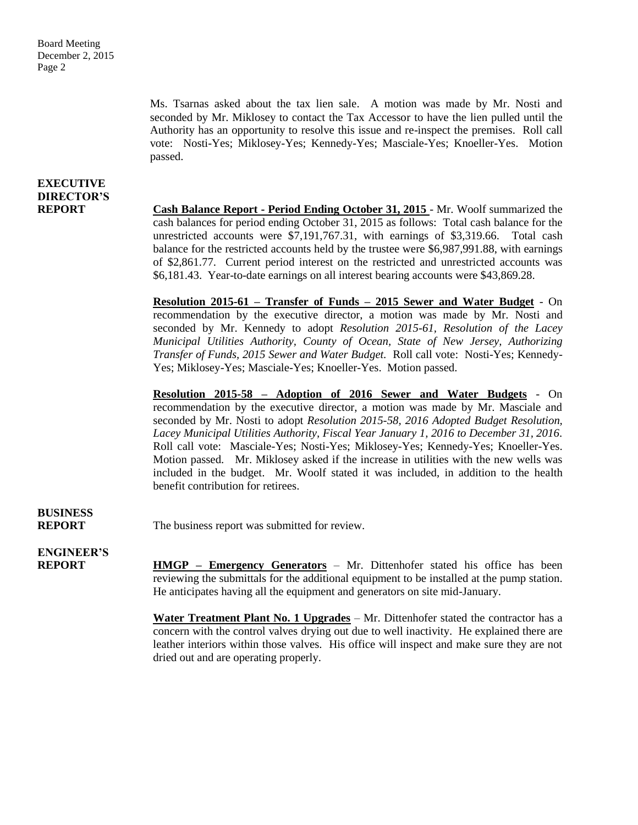Ms. Tsarnas asked about the tax lien sale. A motion was made by Mr. Nosti and seconded by Mr. Miklosey to contact the Tax Accessor to have the lien pulled until the Authority has an opportunity to resolve this issue and re-inspect the premises. Roll call vote: Nosti-Yes; Miklosey-Yes; Kennedy-Yes; Masciale-Yes; Knoeller-Yes. Motion passed.

### **EXECUTIVE DIRECTOR'S**

**REPORT Cash Balance Report - Period Ending October 31, 2015** - Mr. Woolf summarized the cash balances for period ending October 31, 2015 as follows: Total cash balance for the unrestricted accounts were \$7,191,767.31, with earnings of \$3,319.66. Total cash balance for the restricted accounts held by the trustee were \$6,987,991.88, with earnings of \$2,861.77. Current period interest on the restricted and unrestricted accounts was \$6,181.43. Year-to-date earnings on all interest bearing accounts were \$43,869.28.

> **Resolution 2015-61 – Transfer of Funds – 2015 Sewer and Water Budget** - On recommendation by the executive director, a motion was made by Mr. Nosti and seconded by Mr. Kennedy to adopt *Resolution 2015-61, Resolution of the Lacey Municipal Utilities Authority, County of Ocean, State of New Jersey, Authorizing Transfer of Funds, 2015 Sewer and Water Budget.* Roll call vote: Nosti-Yes; Kennedy-Yes; Miklosey-Yes; Masciale-Yes; Knoeller-Yes. Motion passed.

> **Resolution 2015-58 – Adoption of 2016 Sewer and Water Budgets** - On recommendation by the executive director, a motion was made by Mr. Masciale and seconded by Mr. Nosti to adopt *Resolution 2015-58, 2016 Adopted Budget Resolution, Lacey Municipal Utilities Authority, Fiscal Year January 1, 2016 to December 31, 2016.*  Roll call vote: Masciale-Yes; Nosti-Yes; Miklosey-Yes; Kennedy-Yes; Knoeller-Yes. Motion passed. Mr. Miklosey asked if the increase in utilities with the new wells was included in the budget. Mr. Woolf stated it was included, in addition to the health benefit contribution for retirees.

# **BUSINESS**

**REPORT** The business report was submitted for review.

**ENGINEER'S**

**REPORT HMGP – Emergency Generators** – Mr. Dittenhofer stated his office has been reviewing the submittals for the additional equipment to be installed at the pump station. He anticipates having all the equipment and generators on site mid-January.

> **Water Treatment Plant No. 1 Upgrades** – Mr. Dittenhofer stated the contractor has a concern with the control valves drying out due to well inactivity. He explained there are leather interiors within those valves. His office will inspect and make sure they are not dried out and are operating properly.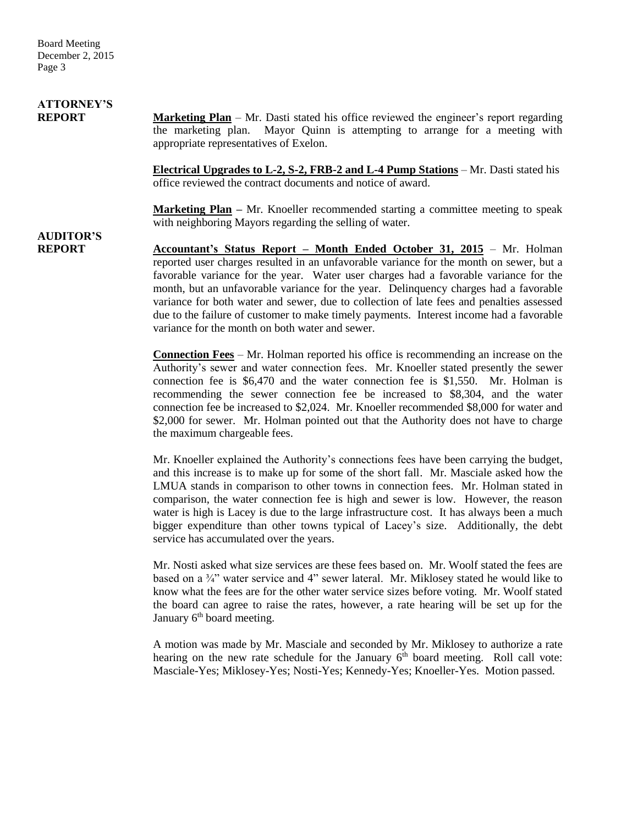Board Meeting December 2, 2015 Page 3

# **ATTORNEY'S**

**REPORT Marketing Plan** – Mr. Dasti stated his office reviewed the engineer's report regarding the marketing plan. Mayor Quinn is attempting to arrange for a meeting with appropriate representatives of Exelon.

> **Electrical Upgrades to L-2, S-2, FRB-2 and L-4 Pump Stations** – Mr. Dasti stated his office reviewed the contract documents and notice of award.

> **Marketing Plan** – Mr. Knoeller recommended starting a committee meeting to speak with neighboring Mayors regarding the selling of water.

## **AUDITOR'S**

**REPORT Accountant's Status Report – Month Ended October 31, 2015** – Mr. Holman reported user charges resulted in an unfavorable variance for the month on sewer, but a favorable variance for the year. Water user charges had a favorable variance for the month, but an unfavorable variance for the year. Delinquency charges had a favorable variance for both water and sewer, due to collection of late fees and penalties assessed due to the failure of customer to make timely payments. Interest income had a favorable variance for the month on both water and sewer.

> **Connection Fees** – Mr. Holman reported his office is recommending an increase on the Authority's sewer and water connection fees. Mr. Knoeller stated presently the sewer connection fee is \$6,470 and the water connection fee is \$1,550. Mr. Holman is recommending the sewer connection fee be increased to \$8,304, and the water connection fee be increased to \$2,024. Mr. Knoeller recommended \$8,000 for water and \$2,000 for sewer. Mr. Holman pointed out that the Authority does not have to charge the maximum chargeable fees.

> Mr. Knoeller explained the Authority's connections fees have been carrying the budget, and this increase is to make up for some of the short fall. Mr. Masciale asked how the LMUA stands in comparison to other towns in connection fees. Mr. Holman stated in comparison, the water connection fee is high and sewer is low. However, the reason water is high is Lacey is due to the large infrastructure cost. It has always been a much bigger expenditure than other towns typical of Lacey's size. Additionally, the debt service has accumulated over the years.

> Mr. Nosti asked what size services are these fees based on. Mr. Woolf stated the fees are based on a <sup>3</sup>/4" water service and 4" sewer lateral. Mr. Miklosey stated he would like to know what the fees are for the other water service sizes before voting. Mr. Woolf stated the board can agree to raise the rates, however, a rate hearing will be set up for the January  $6<sup>th</sup>$  board meeting.

> A motion was made by Mr. Masciale and seconded by Mr. Miklosey to authorize a rate hearing on the new rate schedule for the January  $6<sup>th</sup>$  board meeting. Roll call vote: Masciale-Yes; Miklosey-Yes; Nosti-Yes; Kennedy-Yes; Knoeller-Yes. Motion passed.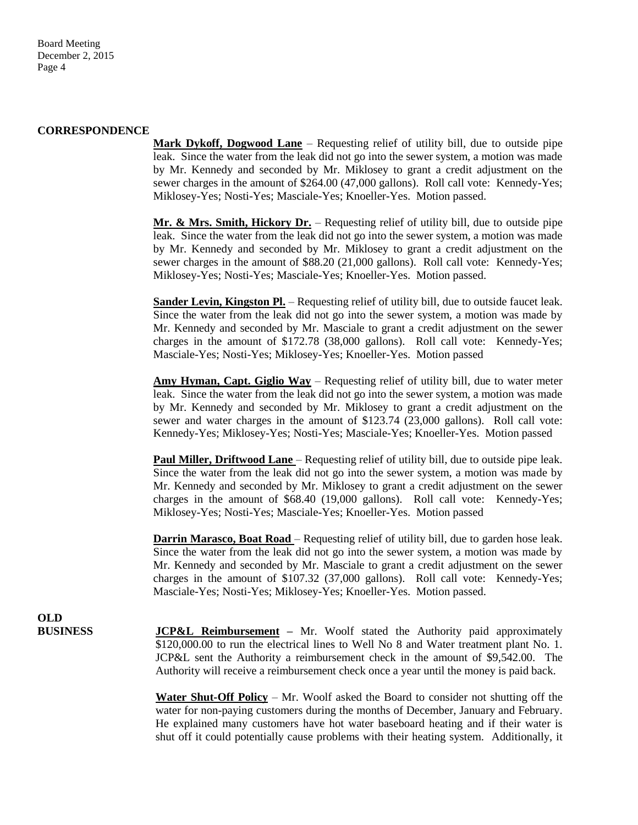#### **CORRESPONDENCE**

**Mark Dykoff, Dogwood Lane** – Requesting relief of utility bill, due to outside pipe leak. Since the water from the leak did not go into the sewer system, a motion was made by Mr. Kennedy and seconded by Mr. Miklosey to grant a credit adjustment on the sewer charges in the amount of \$264.00 (47,000 gallons). Roll call vote: Kennedy-Yes; Miklosey-Yes; Nosti-Yes; Masciale-Yes; Knoeller-Yes. Motion passed.

**Mr. & Mrs. Smith, Hickory Dr.** – Requesting relief of utility bill, due to outside pipe leak. Since the water from the leak did not go into the sewer system, a motion was made by Mr. Kennedy and seconded by Mr. Miklosey to grant a credit adjustment on the sewer charges in the amount of \$88.20 (21,000 gallons). Roll call vote: Kennedy-Yes; Miklosey-Yes; Nosti-Yes; Masciale-Yes; Knoeller-Yes. Motion passed.

**Sander Levin, Kingston Pl.** – Requesting relief of utility bill, due to outside faucet leak. Since the water from the leak did not go into the sewer system, a motion was made by Mr. Kennedy and seconded by Mr. Masciale to grant a credit adjustment on the sewer charges in the amount of \$172.78 (38,000 gallons). Roll call vote: Kennedy-Yes; Masciale-Yes; Nosti-Yes; Miklosey-Yes; Knoeller-Yes. Motion passed

**Amy Hyman, Capt. Giglio Way** – Requesting relief of utility bill, due to water meter leak. Since the water from the leak did not go into the sewer system, a motion was made by Mr. Kennedy and seconded by Mr. Miklosey to grant a credit adjustment on the sewer and water charges in the amount of \$123.74 (23,000 gallons). Roll call vote: Kennedy-Yes; Miklosey-Yes; Nosti-Yes; Masciale-Yes; Knoeller-Yes. Motion passed

**Paul Miller, Driftwood Lane** – Requesting relief of utility bill, due to outside pipe leak. Since the water from the leak did not go into the sewer system, a motion was made by Mr. Kennedy and seconded by Mr. Miklosey to grant a credit adjustment on the sewer charges in the amount of \$68.40 (19,000 gallons). Roll call vote: Kennedy-Yes; Miklosey-Yes; Nosti-Yes; Masciale-Yes; Knoeller-Yes. Motion passed

**Darrin Marasco, Boat Road** – Requesting relief of utility bill, due to garden hose leak. Since the water from the leak did not go into the sewer system, a motion was made by Mr. Kennedy and seconded by Mr. Masciale to grant a credit adjustment on the sewer charges in the amount of \$107.32 (37,000 gallons). Roll call vote: Kennedy-Yes; Masciale-Yes; Nosti-Yes; Miklosey-Yes; Knoeller-Yes. Motion passed.

**OLD**

**BUSINESS JCP&L Reimbursement –** Mr. Woolf stated the Authority paid approximately \$120,000.00 to run the electrical lines to Well No 8 and Water treatment plant No. 1. JCP&L sent the Authority a reimbursement check in the amount of \$9,542.00. The Authority will receive a reimbursement check once a year until the money is paid back.

> **Water Shut-Off Policy** – Mr. Woolf asked the Board to consider not shutting off the water for non-paying customers during the months of December, January and February. He explained many customers have hot water baseboard heating and if their water is shut off it could potentially cause problems with their heating system. Additionally, it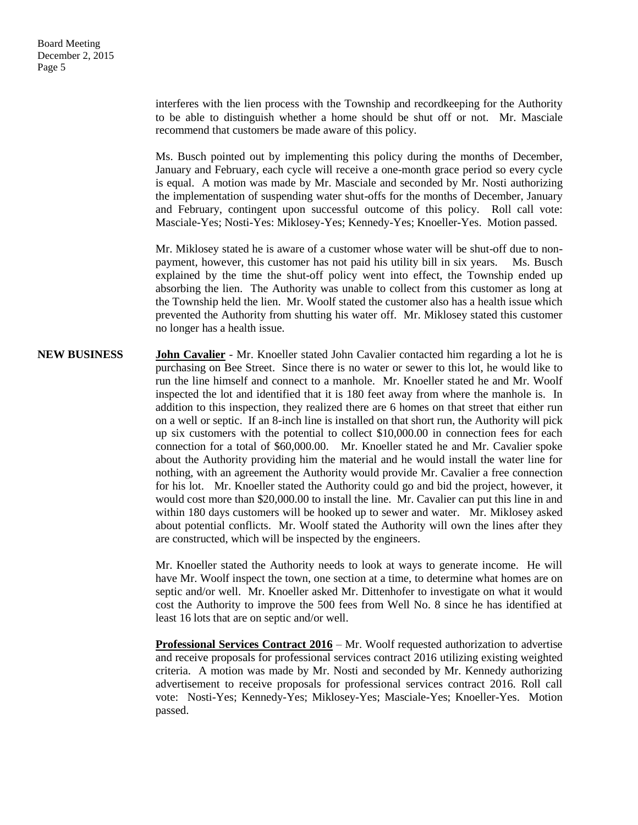interferes with the lien process with the Township and recordkeeping for the Authority to be able to distinguish whether a home should be shut off or not. Mr. Masciale recommend that customers be made aware of this policy.

Ms. Busch pointed out by implementing this policy during the months of December, January and February, each cycle will receive a one-month grace period so every cycle is equal. A motion was made by Mr. Masciale and seconded by Mr. Nosti authorizing the implementation of suspending water shut-offs for the months of December, January and February, contingent upon successful outcome of this policy. Roll call vote: Masciale-Yes; Nosti-Yes: Miklosey-Yes; Kennedy-Yes; Knoeller-Yes. Motion passed.

Mr. Miklosey stated he is aware of a customer whose water will be shut-off due to nonpayment, however, this customer has not paid his utility bill in six years. Ms. Busch explained by the time the shut-off policy went into effect, the Township ended up absorbing the lien. The Authority was unable to collect from this customer as long at the Township held the lien. Mr. Woolf stated the customer also has a health issue which prevented the Authority from shutting his water off. Mr. Miklosey stated this customer no longer has a health issue.

**NEW BUSINESS John Cavalier** - Mr. Knoeller stated John Cavalier contacted him regarding a lot he is purchasing on Bee Street. Since there is no water or sewer to this lot, he would like to run the line himself and connect to a manhole. Mr. Knoeller stated he and Mr. Woolf inspected the lot and identified that it is 180 feet away from where the manhole is. In addition to this inspection, they realized there are 6 homes on that street that either run on a well or septic. If an 8-inch line is installed on that short run, the Authority will pick up six customers with the potential to collect \$10,000.00 in connection fees for each connection for a total of \$60,000.00. Mr. Knoeller stated he and Mr. Cavalier spoke about the Authority providing him the material and he would install the water line for nothing, with an agreement the Authority would provide Mr. Cavalier a free connection for his lot. Mr. Knoeller stated the Authority could go and bid the project, however, it would cost more than \$20,000.00 to install the line. Mr. Cavalier can put this line in and within 180 days customers will be hooked up to sewer and water. Mr. Miklosey asked about potential conflicts. Mr. Woolf stated the Authority will own the lines after they are constructed, which will be inspected by the engineers.

> Mr. Knoeller stated the Authority needs to look at ways to generate income. He will have Mr. Woolf inspect the town, one section at a time, to determine what homes are on septic and/or well. Mr. Knoeller asked Mr. Dittenhofer to investigate on what it would cost the Authority to improve the 500 fees from Well No. 8 since he has identified at least 16 lots that are on septic and/or well.

> **Professional Services Contract 2016** – Mr. Woolf requested authorization to advertise and receive proposals for professional services contract 2016 utilizing existing weighted criteria. A motion was made by Mr. Nosti and seconded by Mr. Kennedy authorizing advertisement to receive proposals for professional services contract 2016. Roll call vote: Nosti-Yes; Kennedy-Yes; Miklosey-Yes; Masciale-Yes; Knoeller-Yes. Motion passed.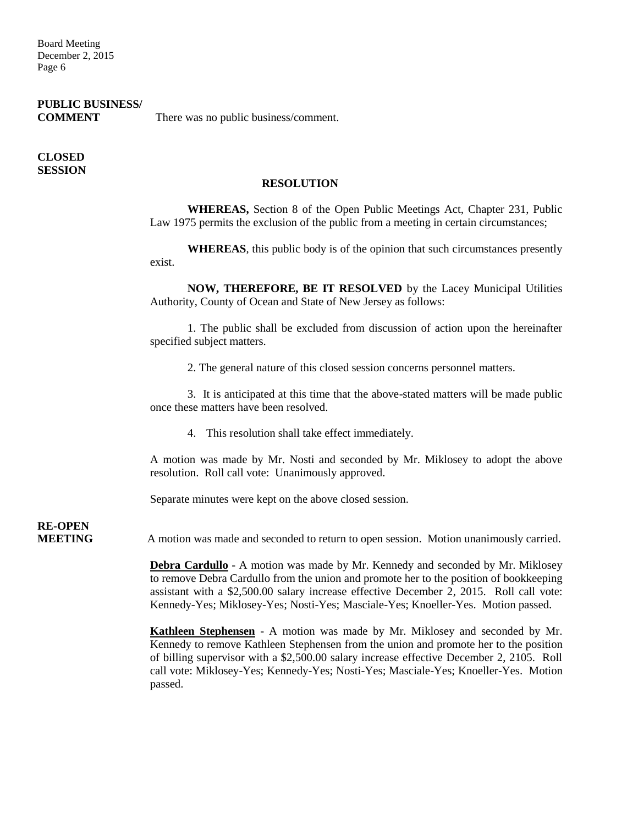Board Meeting December 2, 2015 Page 6

### **PUBLIC BUSINESS/**

**COMMENT** There was no public business/comment.

### **CLOSED SESSION**

### **RESOLUTION**

**WHEREAS,** Section 8 of the Open Public Meetings Act, Chapter 231, Public Law 1975 permits the exclusion of the public from a meeting in certain circumstances;

**WHEREAS**, this public body is of the opinion that such circumstances presently exist.

**NOW, THEREFORE, BE IT RESOLVED** by the Lacey Municipal Utilities Authority, County of Ocean and State of New Jersey as follows:

1. The public shall be excluded from discussion of action upon the hereinafter specified subject matters.

2. The general nature of this closed session concerns personnel matters.

3. It is anticipated at this time that the above-stated matters will be made public once these matters have been resolved.

4. This resolution shall take effect immediately.

A motion was made by Mr. Nosti and seconded by Mr. Miklosey to adopt the above resolution. Roll call vote: Unanimously approved.

Separate minutes were kept on the above closed session.

# **RE-OPEN**

**MEETING** A motion was made and seconded to return to open session. Motion unanimously carried.

**Debra Cardullo** - A motion was made by Mr. Kennedy and seconded by Mr. Miklosey to remove Debra Cardullo from the union and promote her to the position of bookkeeping assistant with a \$2,500.00 salary increase effective December 2, 2015. Roll call vote: Kennedy-Yes; Miklosey-Yes; Nosti-Yes; Masciale-Yes; Knoeller-Yes. Motion passed.

**Kathleen Stephensen** - A motion was made by Mr. Miklosey and seconded by Mr. Kennedy to remove Kathleen Stephensen from the union and promote her to the position of billing supervisor with a \$2,500.00 salary increase effective December 2, 2105. Roll call vote: Miklosey-Yes; Kennedy-Yes; Nosti-Yes; Masciale-Yes; Knoeller-Yes. Motion passed.